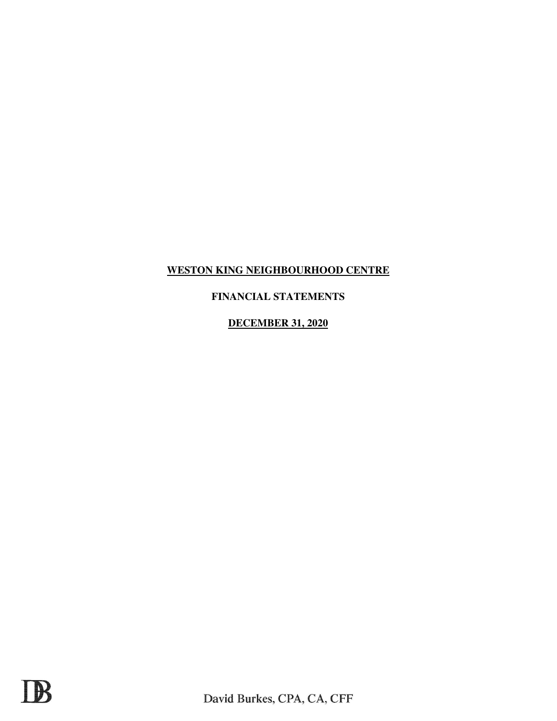# **FINANCIAL STATEMENTS**

**DECEMBER 31, 2020**

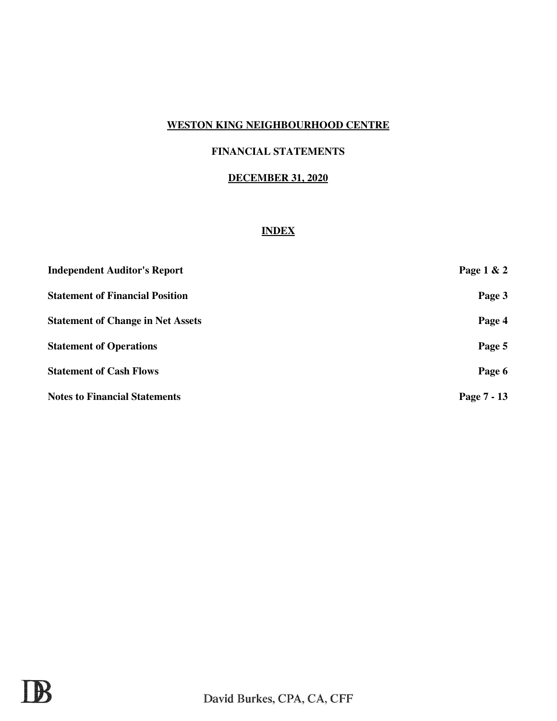# **FINANCIAL STATEMENTS**

## **DECEMBER 31, 2020**

## **INDEX**

| <b>Independent Auditor's Report</b>      | Page 1 & 2  |
|------------------------------------------|-------------|
| <b>Statement of Financial Position</b>   | Page 3      |
| <b>Statement of Change in Net Assets</b> | Page 4      |
| <b>Statement of Operations</b>           | Page 5      |
| <b>Statement of Cash Flows</b>           | Page 6      |
| <b>Notes to Financial Statements</b>     | Page 7 - 13 |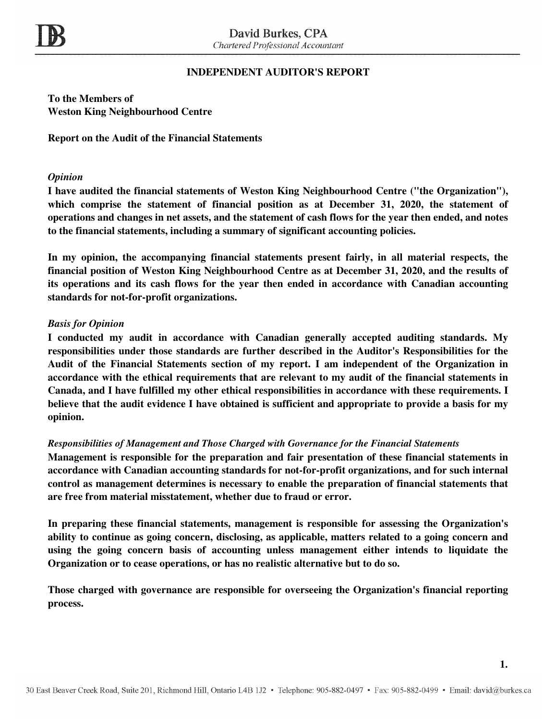## **INDEPENDENT AUDITOR'S REPORT**

**To the Members of Weston King Neighbourhood Centre** 

**Report on the Audit of the Financial Statements**

### *Opinion*

**I have audited the financial statements of Weston King Neighbourhood Centre ("the Organization"), which comprise the statement of financial position as at December 31, 2020, the statement of operations and changes in net assets, and the statement of cash flows for the year then ended, and notes to the financial statements, including a summary of significant accounting policies.**

**In my opinion, the accompanying financial statements present fairly, in all material respects, the financial position of Weston King Neighbourhood Centre as at December 31, 2020, and the results of its operations and its cash flows for the year then ended in accordance with Canadian accounting standards for not-for-profit organizations.** 

### *Basis for Opinion*

**I conducted my audit in accordance with Canadian generally accepted auditing standards. My responsibilities under those standards are further described in the Auditor's Responsibilities for the Audit of the Financial Statements section of my report. I am independent of the Organization in accordance with the ethical requirements that are relevant to my audit of the financial statements in Canada, and I have fulfilled my other ethical responsibilities in accordance with these requirements. I believe that the audit evidence I have obtained is sufficient and appropriate to provide a basis for my opinion.** 

### *Responsibilities of Management and Those Charged with Governance for the Financial Statements*

**Management is responsible for the preparation and fair presentation of these financial statements in accordance with Canadian accounting standards for not-for-profit organizations, and for such internal control as management determines is necessary to enable the preparation of financial statements that are free from material misstatement, whether due to fraud or error.** 

**In preparing these financial statements, management is responsible for assessing the Organization's ability to continue as going concern, disclosing, as applicable, matters related to a going concern and using the going concern basis of accounting unless management either intends to liquidate the Organization or to cease operations, or has no realistic alternative but to do so.** 

**Those charged with governance are responsible for overseeing the Organization's financial reporting process.**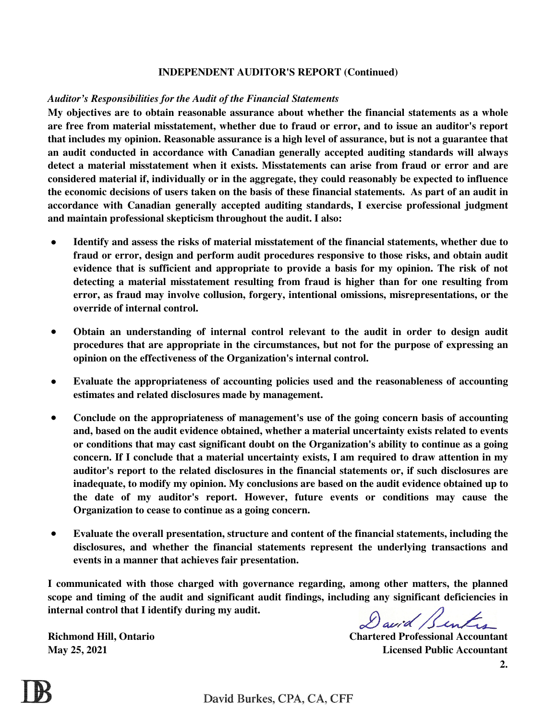### **INDEPENDENT AUDITOR'S REPORT (Continued)**

### *Auditor's Responsibilities for the Audit of the Financial Statements*

**My objectives are to obtain reasonable assurance about whether the financial statements as a whole are free from material misstatement, whether due to fraud or error, and to issue an auditor's report that includes my opinion. Reasonable assurance is a high level of assurance, but is not a guarantee that an audit conducted in accordance with Canadian generally accepted auditing standards will always detect a material misstatement when it exists. Misstatements can arise from fraud or error and are considered material if, individually or in the aggregate, they could reasonably be expected to influence the economic decisions of users taken on the basis of these financial statements. As part of an audit in accordance with Canadian generally accepted auditing standards, I exercise professional judgment and maintain professional skepticism throughout the audit. I also:**

- **● Identify and assess the risks of material misstatement of the financial statements, whether due to fraud or error, design and perform audit procedures responsive to those risks, and obtain audit evidence that is sufficient and appropriate to provide a basis for my opinion. The risk of not detecting a material misstatement resulting from fraud is higher than for one resulting from error, as fraud may involve collusion, forgery, intentional omissions, misrepresentations, or the override of internal control.**
- **● Obtain an understanding of internal control relevant to the audit in order to design audit procedures that are appropriate in the circumstances, but not for the purpose of expressing an opinion on the effectiveness of the Organization's internal control.**
- **● Evaluate the appropriateness of accounting policies used and the reasonableness of accounting estimates and related disclosures made by management.**
- **● Conclude on the appropriateness of management's use of the going concern basis of accounting and, based on the audit evidence obtained, whether a material uncertainty exists related to events or conditions that may cast significant doubt on the Organization's ability to continue as a going concern. If I conclude that a material uncertainty exists, I am required to draw attention in my auditor's report to the related disclosures in the financial statements or, if such disclosures are inadequate, to modify my opinion. My conclusions are based on the audit evidence obtained up to the date of my auditor's report. However, future events or conditions may cause the Organization to cease to continue as a going concern.**
- **● Evaluate the overall presentation, structure and content of the financial statements, including the disclosures, and whether the financial statements represent the underlying transactions and events in a manner that achieves fair presentation.**

**I communicated with those charged with governance regarding, among other matters, the planned scope and timing of the audit and significant audit findings, including any significant deficiencies in internal control that I identify during my audit.** 

David Benter

**May 25, 2021**

**Richmond Hill, Ontario Chartered Professional Accountant Licensed Public Accountant**

**2.**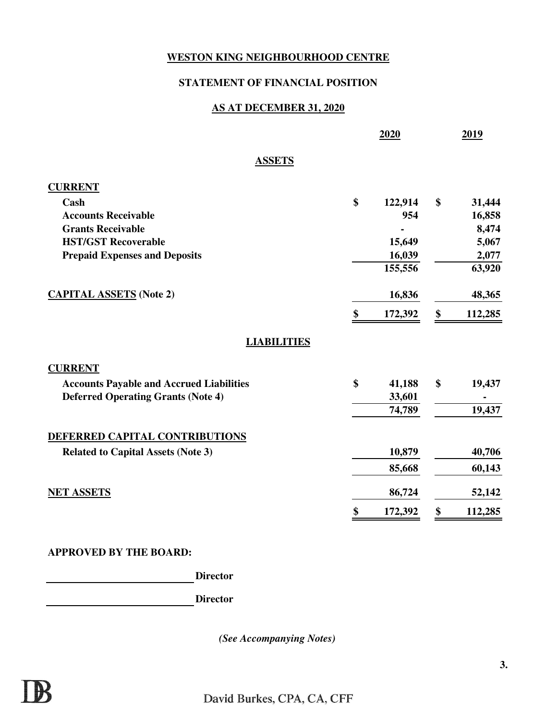## **STATEMENT OF FINANCIAL POSITION**

## **AS AT DECEMBER 31, 2020**

|                                                 | 2020          | 2019          |
|-------------------------------------------------|---------------|---------------|
| <b>ASSETS</b>                                   |               |               |
| <b>CURRENT</b>                                  |               |               |
| Cash                                            | \$<br>122,914 | \$<br>31,444  |
| <b>Accounts Receivable</b>                      | 954           | 16,858        |
| <b>Grants Receivable</b>                        |               | 8,474         |
| <b>HST/GST Recoverable</b>                      | 15,649        | 5,067         |
| <b>Prepaid Expenses and Deposits</b>            | 16,039        | 2,077         |
|                                                 | 155,556       | 63,920        |
| <b>CAPITAL ASSETS</b> (Note 2)                  | 16,836        | 48,365        |
|                                                 | \$<br>172,392 | \$<br>112,285 |
| <b>LIABILITIES</b>                              |               |               |
| <b>CURRENT</b>                                  |               |               |
| <b>Accounts Payable and Accrued Liabilities</b> | \$<br>41,188  | \$<br>19,437  |
| <b>Deferred Operating Grants (Note 4)</b>       | 33,601        |               |
|                                                 | 74,789        | 19,437        |
| DEFERRED CAPITAL CONTRIBUTIONS                  |               |               |
| <b>Related to Capital Assets (Note 3)</b>       | 10,879        | 40,706        |
|                                                 | 85,668        | 60,143        |
| <b>NET ASSETS</b>                               | 86,724        | 52,142        |
|                                                 | \$<br>172,392 | \$<br>112,285 |

## **APPROVED BY THE BOARD:**

**Director**

**Director**

*(See Accompanying Notes)*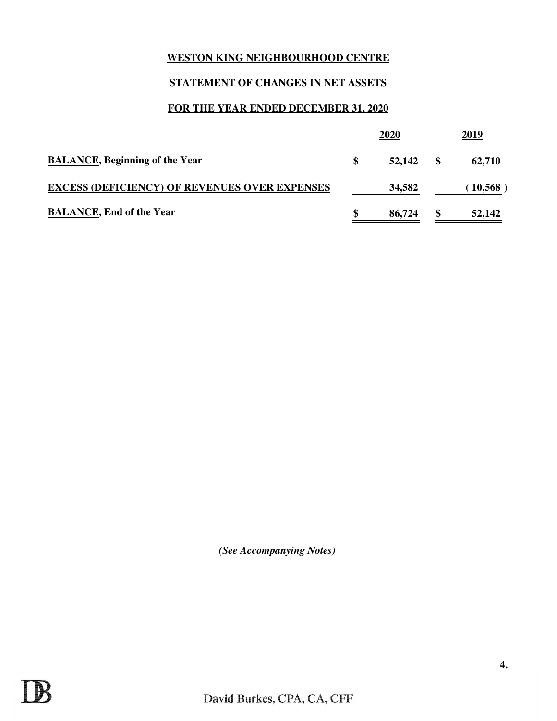# **STATEMENT OF CHANGES IN NET ASSETS**

# **FOR THE YEAR ENDED DECEMBER 31, 2020**

|                                                      | 2020         |     | 2019    |
|------------------------------------------------------|--------------|-----|---------|
| <b>BALANCE, Beginning of the Year</b>                | \$<br>52,142 | -SS | 62,710  |
| <b>EXCESS (DEFICIENCY) OF REVENUES OVER EXPENSES</b> | 34,582       |     | 10,568) |
| <b>BALANCE, End of the Year</b>                      | 86,724       |     | 52,142  |

*(See Accompanying Notes)*

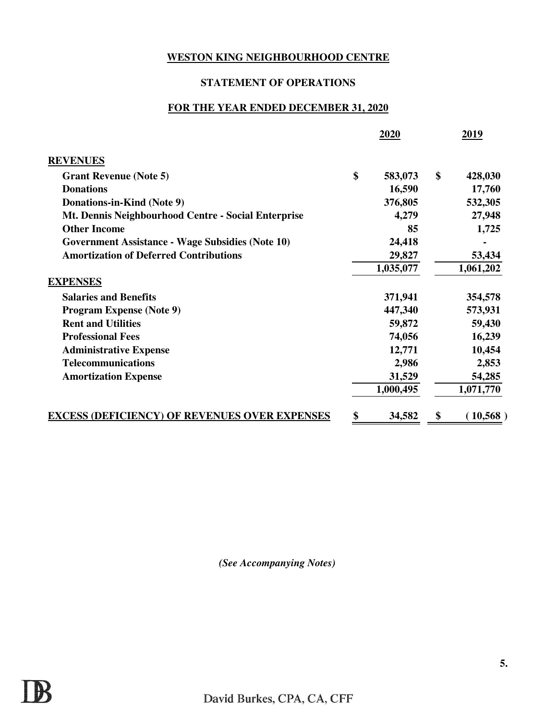## **STATEMENT OF OPERATIONS**

# **FOR THE YEAR ENDED DECEMBER 31, 2020**

|                                                         | 2020          | 2019           |
|---------------------------------------------------------|---------------|----------------|
| <b>REVENUES</b>                                         |               |                |
| <b>Grant Revenue (Note 5)</b>                           | \$<br>583,073 | \$<br>428,030  |
| <b>Donations</b>                                        | 16,590        | 17,760         |
| Donations-in-Kind (Note 9)                              | 376,805       | 532,305        |
| Mt. Dennis Neighbourhood Centre - Social Enterprise     | 4,279         | 27,948         |
| <b>Other Income</b>                                     | 85            | 1,725          |
| <b>Government Assistance - Wage Subsidies (Note 10)</b> | 24,418        |                |
| <b>Amortization of Deferred Contributions</b>           | 29,827        | 53,434         |
|                                                         | 1,035,077     | 1,061,202      |
| <b>EXPENSES</b>                                         |               |                |
| <b>Salaries and Benefits</b>                            | 371,941       | 354,578        |
| <b>Program Expense (Note 9)</b>                         | 447,340       | 573,931        |
| <b>Rent and Utilities</b>                               | 59,872        | 59,430         |
| <b>Professional Fees</b>                                | 74,056        | 16,239         |
| <b>Administrative Expense</b>                           | 12,771        | 10,454         |
| <b>Telecommunications</b>                               | 2,986         | 2,853          |
| <b>Amortization Expense</b>                             | 31,529        | 54,285         |
|                                                         | 1,000,495     | 1,071,770      |
| <b>EXCESS (DEFICIENCY) OF REVENUES OVER EXPENSES</b>    | \$<br>34,582  | \$<br>(10,568) |

*(See Accompanying Notes)*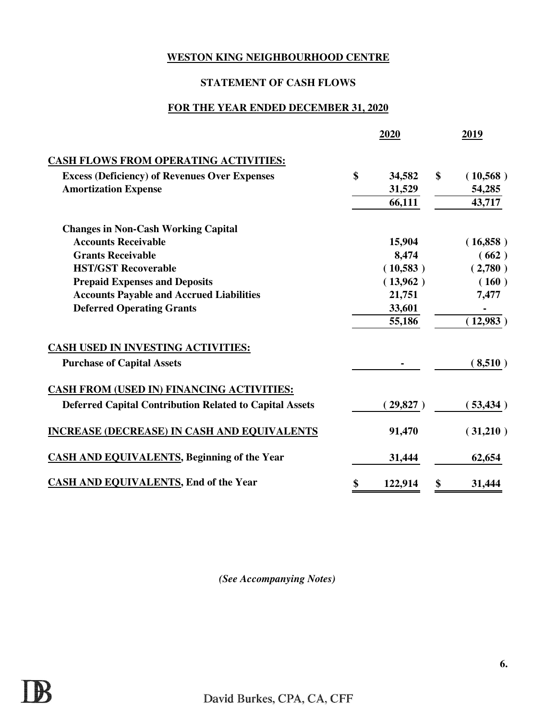# **STATEMENT OF CASH FLOWS**

# **FOR THE YEAR ENDED DECEMBER 31, 2020**

|                                                                | 2020          | 2019           |
|----------------------------------------------------------------|---------------|----------------|
| <b>CASH FLOWS FROM OPERATING ACTIVITIES:</b>                   |               |                |
| <b>Excess (Deficiency) of Revenues Over Expenses</b>           | \$<br>34,582  | \$<br>(10,568) |
| <b>Amortization Expense</b>                                    | 31,529        | 54,285         |
|                                                                | 66,111        | 43,717         |
| <b>Changes in Non-Cash Working Capital</b>                     |               |                |
| <b>Accounts Receivable</b>                                     | 15,904        | (16,858)       |
| <b>Grants Receivable</b>                                       | 8,474         | (662)          |
| <b>HST/GST Recoverable</b>                                     | (10,583)      | (2,780)        |
| <b>Prepaid Expenses and Deposits</b>                           | (13,962)      | (160)          |
| <b>Accounts Payable and Accrued Liabilities</b>                | 21,751        | 7,477          |
| <b>Deferred Operating Grants</b>                               | 33,601        |                |
|                                                                | 55,186        | (12,983)       |
| <b>CASH USED IN INVESTING ACTIVITIES:</b>                      |               |                |
| <b>Purchase of Capital Assets</b>                              |               | (8,510)        |
| <b>CASH FROM (USED IN) FINANCING ACTIVITIES:</b>               |               |                |
| <b>Deferred Capital Contribution Related to Capital Assets</b> | (29,827)      | (53, 434)      |
| <b>INCREASE (DECREASE) IN CASH AND EQUIVALENTS</b>             | 91,470        | (31,210)       |
| <b>CASH AND EQUIVALENTS, Beginning of the Year</b>             | 31,444        | 62,654         |
| <b>CASH AND EQUIVALENTS, End of the Year</b>                   | \$<br>122,914 | \$<br>31,444   |

*(See Accompanying Notes)*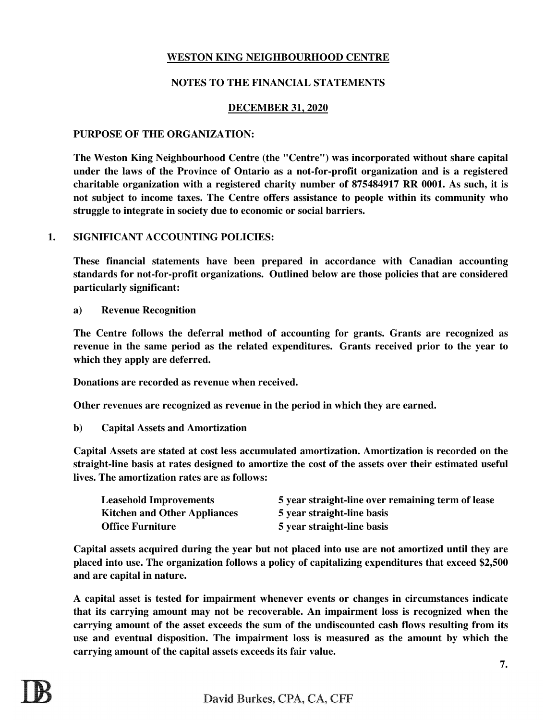## **NOTES TO THE FINANCIAL STATEMENTS**

### **DECEMBER 31, 2020**

### **PURPOSE OF THE ORGANIZATION:**

**The Weston King Neighbourhood Centre (the "Centre") was incorporated without share capital under the laws of the Province of Ontario as a not-for-profit organization and is a registered charitable organization with a registered charity number of 875484917 RR 0001. As such, it is not subject to income taxes. The Centre offers assistance to people within its community who struggle to integrate in society due to economic or social barriers.** 

### **1. SIGNIFICANT ACCOUNTING POLICIES:**

**These financial statements have been prepared in accordance with Canadian accounting standards for not-for-profit organizations. Outlined below are those policies that are considered particularly significant:**

**a) Revenue Recognition**

**The Centre follows the deferral method of accounting for grants. Grants are recognized as revenue in the same period as the related expenditures. Grants received prior to the year to which they apply are deferred.** 

**Donations are recorded as revenue when received.**

**Other revenues are recognized as revenue in the period in which they are earned.**

**b) Capital Assets and Amortization**

**Capital Assets are stated at cost less accumulated amortization. Amortization is recorded on the straight-line basis at rates designed to amortize the cost of the assets over their estimated useful lives. The amortization rates are as follows:**

| <b>Leasehold Improvements</b>       | 5 year straight-line over remaining term of lease |
|-------------------------------------|---------------------------------------------------|
| <b>Kitchen and Other Appliances</b> | 5 year straight-line basis                        |
| <b>Office Furniture</b>             | 5 year straight-line basis                        |

**Capital assets acquired during the year but not placed into use are not amortized until they are placed into use. The organization follows a policy of capitalizing expenditures that exceed \$2,500 and are capital in nature.** 

**A capital asset is tested for impairment whenever events or changes in circumstances indicate that its carrying amount may not be recoverable. An impairment loss is recognized when the carrying amount of the asset exceeds the sum of the undiscounted cash flows resulting from its use and eventual disposition. The impairment loss is measured as the amount by which the carrying amount of the capital assets exceeds its fair value.**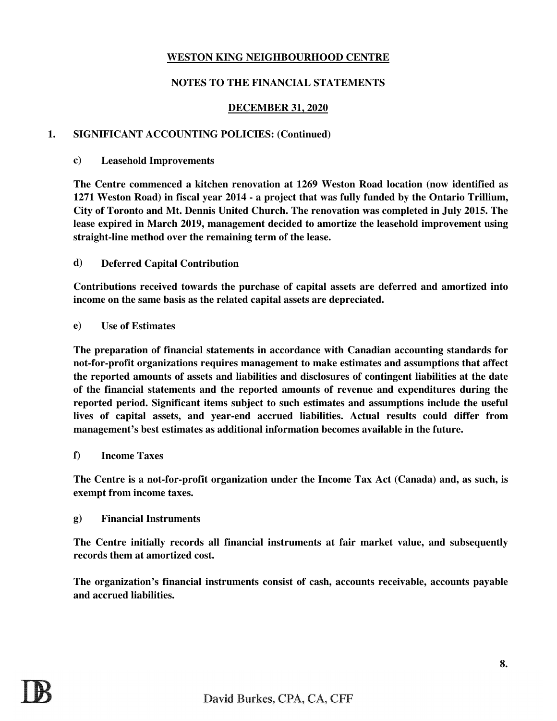## **NOTES TO THE FINANCIAL STATEMENTS**

### **DECEMBER 31, 2020**

### **1. SIGNIFICANT ACCOUNTING POLICIES: (Continued)**

#### **c) Leasehold Improvements**

**The Centre commenced a kitchen renovation at 1269 Weston Road location (now identified as 1271 Weston Road) in fiscal year 2014 - a project that was fully funded by the Ontario Trillium, City of Toronto and Mt. Dennis United Church. The renovation was completed in July 2015. The lease expired in March 2019, management decided to amortize the leasehold improvement using straight-line method over the remaining term of the lease.** 

#### **d) Deferred Capital Contribution**

**Contributions received towards the purchase of capital assets are deferred and amortized into income on the same basis as the related capital assets are depreciated.** 

#### **e) Use of Estimates**

**The preparation of financial statements in accordance with Canadian accounting standards for not-for-profit organizations requires management to make estimates and assumptions that affect the reported amounts of assets and liabilities and disclosures of contingent liabilities at the date of the financial statements and the reported amounts of revenue and expenditures during the reported period. Significant items subject to such estimates and assumptions include the useful lives of capital assets, and year-end accrued liabilities. Actual results could differ from management's best estimates as additional information becomes available in the future.**

#### **f) Income Taxes**

**The Centre is a not-for-profit organization under the Income Tax Act (Canada) and, as such, is exempt from income taxes.**

#### **g) Financial Instruments**

**The Centre initially records all financial instruments at fair market value, and subsequently records them at amortized cost.**

**The organization's financial instruments consist of cash, accounts receivable, accounts payable and accrued liabilities.**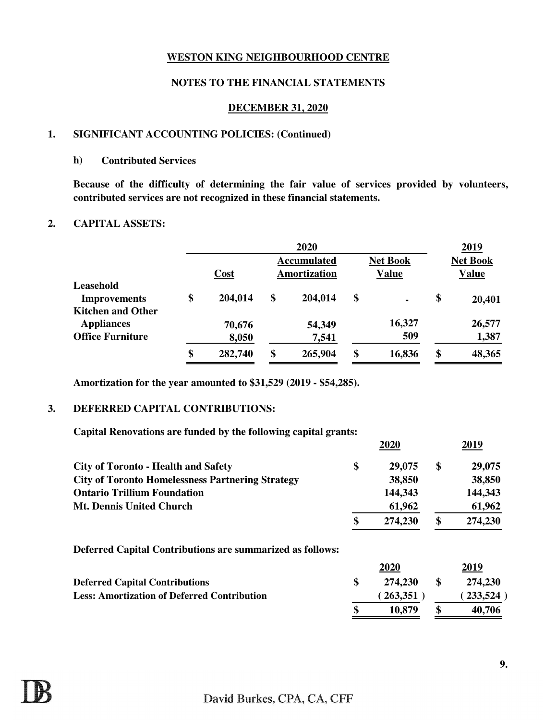## **NOTES TO THE FINANCIAL STATEMENTS**

### **DECEMBER 31, 2020**

### **1. SIGNIFICANT ACCOUNTING POLICIES: (Continued)**

#### **h) Contributed Services**

**Because of the difficulty of determining the fair value of services provided by volunteers, contributed services are not recognized in these financial statements.** 

### **2. CAPITAL ASSETS:**

|                          |               | 2020                |                      | 2019            |
|--------------------------|---------------|---------------------|----------------------|-----------------|
|                          |               | <b>Accumulated</b>  | <b>Net Book</b>      | <b>Net Book</b> |
|                          | <b>Cost</b>   | <b>Amortization</b> | <b>Value</b>         | <b>Value</b>    |
| Leasehold                |               |                     |                      |                 |
| <b>Improvements</b>      | \$<br>204,014 | \$<br>204,014       | \$<br>$\blacksquare$ | \$<br>20,401    |
| <b>Kitchen and Other</b> |               |                     |                      |                 |
| <b>Appliances</b>        | 70,676        | 54,349              | 16,327               | 26,577          |
| <b>Office Furniture</b>  | 8,050         | 7,541               | 509                  | 1,387           |
|                          | \$<br>282,740 | \$<br>265,904       | \$<br>16,836         | \$<br>48,365    |

**Amortization for the year amounted to \$31,529 (2019 - \$54,285).**

### **3. DEFERRED CAPITAL CONTRIBUTIONS:**

**Capital Renovations are funded by the following capital grants:**

| 2020          |    | 2019      |
|---------------|----|-----------|
| \$<br>29,075  | \$ | 29,075    |
| 38,850        |    | 38,850    |
| 144,343       |    | 144,343   |
| 61,962        |    | 61,962    |
| 274,230       | J) | 274,230   |
|               |    |           |
| 2020          |    | 2019      |
| \$<br>274,230 | \$ | 274,230   |
| (263,351)     |    | (233,524) |
| \$<br>10,879  | ¢  | 40,706    |
|               |    |           |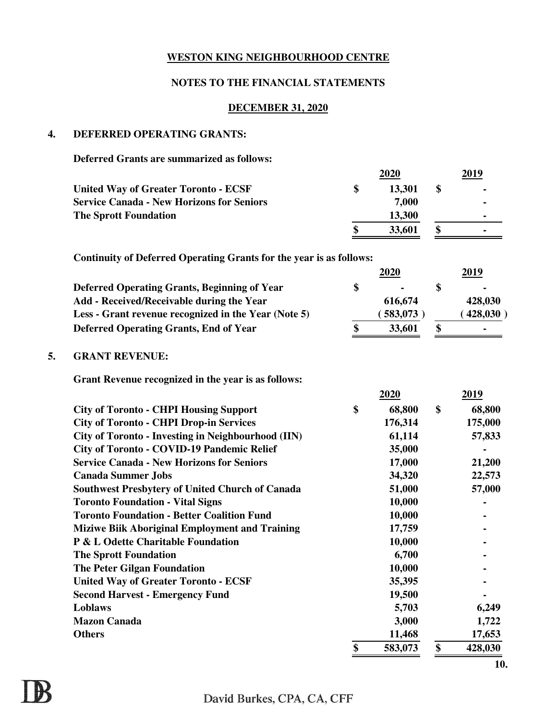# **NOTES TO THE FINANCIAL STATEMENTS**

## **DECEMBER 31, 2020**

## **4. DEFERRED OPERATING GRANTS:**

**Deferred Grants are summarized as follows:**

|    |                                                                            | 2020          | 2019          |
|----|----------------------------------------------------------------------------|---------------|---------------|
|    | <b>United Way of Greater Toronto - ECSF</b>                                | \$<br>13,301  | \$            |
|    | <b>Service Canada - New Horizons for Seniors</b>                           | 7,000         |               |
|    | <b>The Sprott Foundation</b>                                               | 13,300        |               |
|    |                                                                            | \$<br>33,601  | \$            |
|    | <b>Continuity of Deferred Operating Grants for the year is as follows:</b> |               |               |
|    |                                                                            | 2020          | 2019          |
|    | <b>Deferred Operating Grants, Beginning of Year</b>                        | \$            | \$            |
|    | Add - Received/Receivable during the Year                                  | 616,674       | 428,030       |
|    | Less - Grant revenue recognized in the Year (Note 5)                       | (583,073)     | (428, 030)    |
|    | <b>Deferred Operating Grants, End of Year</b>                              | \$<br>33,601  | \$            |
| 5. | <b>GRANT REVENUE:</b>                                                      |               |               |
|    | Grant Revenue recognized in the year is as follows:                        |               |               |
|    |                                                                            | 2020          | 2019          |
|    | <b>City of Toronto - CHPI Housing Support</b>                              | \$<br>68,800  | \$<br>68,800  |
|    | <b>City of Toronto - CHPI Drop-in Services</b>                             | 176,314       | 175,000       |
|    | <b>City of Toronto - Investing in Neighbourhood (IIN)</b>                  | 61,114        | 57,833        |
|    | <b>City of Toronto - COVID-19 Pandemic Relief</b>                          | 35,000        |               |
|    | <b>Service Canada - New Horizons for Seniors</b>                           | 17,000        | 21,200        |
|    | <b>Canada Summer Jobs</b>                                                  | 34,320        | 22,573        |
|    | <b>Southwest Presbytery of United Church of Canada</b>                     | 51,000        | 57,000        |
|    | <b>Toronto Foundation - Vital Signs</b>                                    | 10,000        |               |
|    | <b>Toronto Foundation - Better Coalition Fund</b>                          | 10,000        |               |
|    | <b>Miziwe Biik Aboriginal Employment and Training</b>                      | 17,759        |               |
|    | P & L Odette Charitable Foundation                                         | 10,000        |               |
|    | <b>The Sprott Foundation</b>                                               | 6,700         |               |
|    | <b>The Peter Gilgan Foundation</b>                                         | 10,000        |               |
|    | <b>United Way of Greater Toronto - ECSF</b>                                | 35,395        |               |
|    | <b>Second Harvest - Emergency Fund</b>                                     | 19,500        |               |
|    | Loblaws                                                                    | 5,703         | 6,249         |
|    | <b>Mazon Canada</b>                                                        | 3,000         | 1,722         |
|    | <b>Others</b>                                                              | 11,468        | 17,653        |
|    |                                                                            | \$<br>583,073 | \$<br>428,030 |
|    |                                                                            |               | <b>10.</b>    |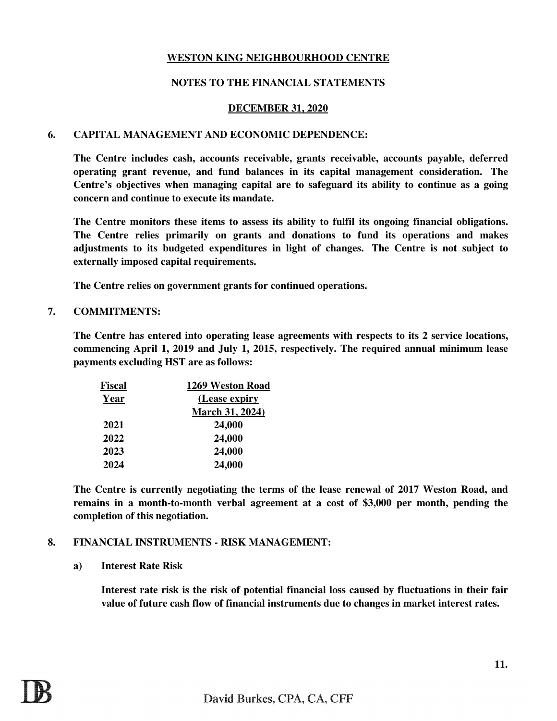## **NOTES TO THE FINANCIAL STATEMENTS**

### **DECEMBER 31, 2020**

### **6. CAPITAL MANAGEMENT AND ECONOMIC DEPENDENCE:**

**The Centre includes cash, accounts receivable, grants receivable, accounts payable, deferred operating grant revenue, and fund balances in its capital management consideration. The Centre's objectives when managing capital are to safeguard its ability to continue as a going concern and continue to execute its mandate.** 

**The Centre monitors these items to assess its ability to fulfil its ongoing financial obligations. The Centre relies primarily on grants and donations to fund its operations and makes adjustments to its budgeted expenditures in light of changes. The Centre is not subject to externally imposed capital requirements.**

**The Centre relies on government grants for continued operations.**

### **7. COMMITMENTS:**

**The Centre has entered into operating lease agreements with respects to its 2 service locations, commencing April 1, 2019 and July 1, 2015, respectively. The required annual minimum lease payments excluding HST are as follows:**

| <b>Fiscal</b> | 1269 Weston Road       |
|---------------|------------------------|
| Year          | (Lease expiry)         |
|               | <b>March 31, 2024)</b> |
| 2021          | 24,000                 |
| 2022          | 24,000                 |
| 2023          | 24,000                 |
| 2024          | 24,000                 |

**The Centre is currently negotiating the terms of the lease renewal of 2017 Weston Road, and remains in a month-to-month verbal agreement at a cost of \$3,000 per month, pending the completion of this negotiation.**

### **8. FINANCIAL INSTRUMENTS - RISK MANAGEMENT:**

### **a) Interest Rate Risk**

**Interest rate risk is the risk of potential financial loss caused by fluctuations in their fair value of future cash flow of financial instruments due to changes in market interest rates.**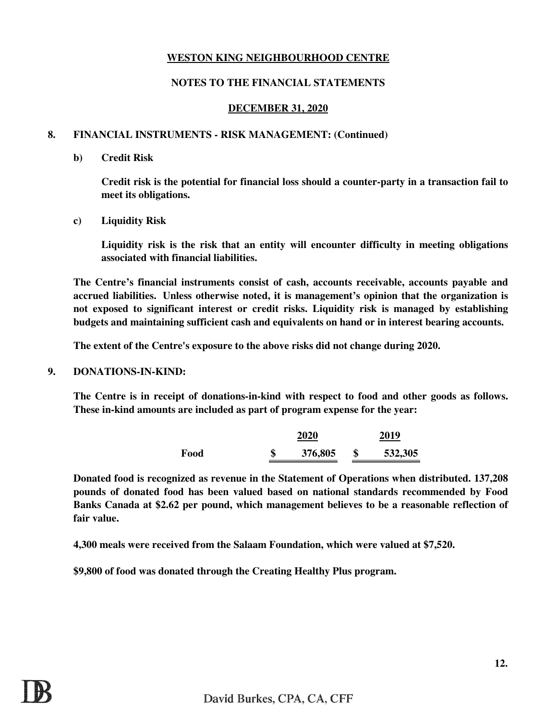### **NOTES TO THE FINANCIAL STATEMENTS**

### **DECEMBER 31, 2020**

### **8. FINANCIAL INSTRUMENTS - RISK MANAGEMENT: (Continued)**

### **b) Credit Risk**

**Credit risk is the potential for financial loss should a counter-party in a transaction fail to meet its obligations.**

**c) Liquidity Risk**

**Liquidity risk is the risk that an entity will encounter difficulty in meeting obligations associated with financial liabilities.**

**The Centre's financial instruments consist of cash, accounts receivable, accounts payable and accrued liabilities. Unless otherwise noted, it is management's opinion that the organization is not exposed to significant interest or credit risks. Liquidity risk is managed by establishing budgets and maintaining sufficient cash and equivalents on hand or in interest bearing accounts.**

**The extent of the Centre's exposure to the above risks did not change during 2020.**

**9. DONATIONS-IN-KIND:**

**The Centre is in receipt of donations-in-kind with respect to food and other goods as follows. These in-kind amounts are included as part of program expense for the year:**

|      |    | 2020    | 2019    |
|------|----|---------|---------|
| Food | ۲D | 376,805 | 532,305 |

**Donated food is recognized as revenue in the Statement of Operations when distributed. 137,208 pounds of donated food has been valued based on national standards recommended by Food Banks Canada at \$2.62 per pound, which management believes to be a reasonable reflection of fair value.** 

**4,300 meals were received from the Salaam Foundation, which were valued at \$7,520.** 

**\$9,800 of food was donated through the Creating Healthy Plus program.**